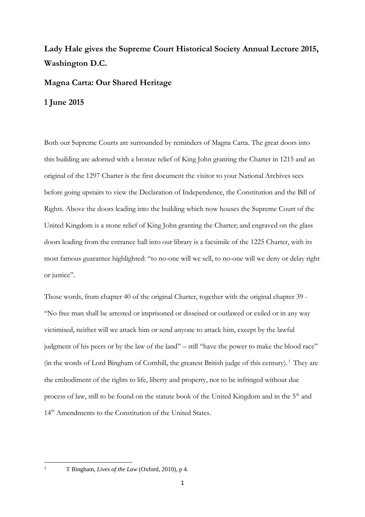## **Lady Hale gives the Supreme Court Historical Society Annual Lecture 2015, Washington D.C.**

## **Magna Carta: Our Shared Heritage**

## **1 June 2015**

Both our Supreme Courts are surrounded by reminders of Magna Carta. The great doors into this building are adorned with a bronze relief of King John granting the Charter in 1215 and an original of the 1297 Charter is the first document the visitor to your National Archives sees before going upstairs to view the Declaration of Independence, the Constitution and the Bill of Rights. Above the doors leading into the building which now houses the Supreme Court of the United Kingdom is a stone relief of King John granting the Charter; and engraved on the glass doors leading from the entrance hall into our library is a facsimile of the 1225 Charter, with its most famous guarantee highlighted: "to no-one will we sell, to no-one will we deny or delay right or justice".

Those words, from chapter 40 of the original Charter, together with the original chapter 39 - "No free man shall be arrested or imprisoned or disseised or outlawed or exiled or in any way victimised, neither will we attack him or send anyone to attack him, except by the lawful judgment of his peers or by the law of the land" – still "have the power to make the blood race" (in the words of Lord Bingham of Cornhill, the greatest British judge of this century).<sup>1</sup> They are the embodiment of the rights to life, liberty and property, not to be infringed without due process of law, still to be found on the statute book of the United Kingdom and in the 5<sup>th</sup> and 14<sup>th</sup> Amendments to the Constitution of the United States.

**.** 

<sup>1</sup> T Bingham, *Lives of the Law* (Oxford, 2010), p 4.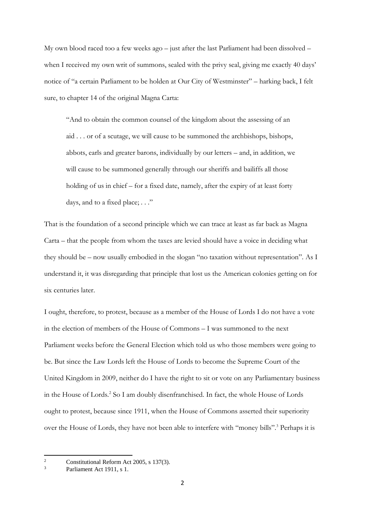My own blood raced too a few weeks ago – just after the last Parliament had been dissolved – when I received my own writ of summons, sealed with the privy seal, giving me exactly 40 days' notice of "a certain Parliament to be holden at Our City of Westminster" – harking back, I felt sure, to chapter 14 of the original Magna Carta:

"And to obtain the common counsel of the kingdom about the assessing of an aid . . . or of a scutage, we will cause to be summoned the archbishops, bishops, abbots, earls and greater barons, individually by our letters – and, in addition, we will cause to be summoned generally through our sheriffs and bailiffs all those holding of us in chief – for a fixed date, namely, after the expiry of at least forty days, and to a fixed place; . . ."

That is the foundation of a second principle which we can trace at least as far back as Magna Carta – that the people from whom the taxes are levied should have a voice in deciding what they should be – now usually embodied in the slogan "no taxation without representation". As I understand it, it was disregarding that principle that lost us the American colonies getting on for six centuries later.

I ought, therefore, to protest, because as a member of the House of Lords I do not have a vote in the election of members of the House of Commons – I was summoned to the next Parliament weeks before the General Election which told us who those members were going to be. But since the Law Lords left the House of Lords to become the Supreme Court of the United Kingdom in 2009, neither do I have the right to sit or vote on any Parliamentary business in the House of Lords.<sup>2</sup> So I am doubly disenfranchised. In fact, the whole House of Lords ought to protest, because since 1911, when the House of Commons asserted their superiority over the House of Lords, they have not been able to interfere with "money bills".<sup>3</sup> Perhaps it is

 $\overline{2}$ <sup>2</sup> Constitutional Reform Act 2005, s 137(3).

Parliament Act 1911, s 1.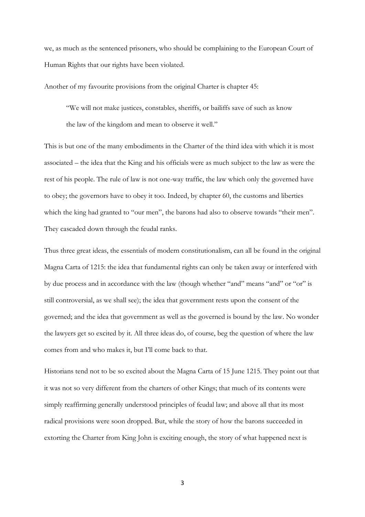we, as much as the sentenced prisoners, who should be complaining to the European Court of Human Rights that our rights have been violated.

Another of my favourite provisions from the original Charter is chapter 45:

"We will not make justices, constables, sheriffs, or bailiffs save of such as know the law of the kingdom and mean to observe it well."

This is but one of the many embodiments in the Charter of the third idea with which it is most associated – the idea that the King and his officials were as much subject to the law as were the rest of his people. The rule of law is not one-way traffic, the law which only the governed have to obey; the governors have to obey it too. Indeed, by chapter 60, the customs and liberties which the king had granted to "our men", the barons had also to observe towards "their men". They cascaded down through the feudal ranks.

Thus three great ideas, the essentials of modern constitutionalism, can all be found in the original Magna Carta of 1215: the idea that fundamental rights can only be taken away or interfered with by due process and in accordance with the law (though whether "and" means "and" or "or" is still controversial, as we shall see); the idea that government rests upon the consent of the governed; and the idea that government as well as the governed is bound by the law. No wonder the lawyers get so excited by it. All three ideas do, of course, beg the question of where the law comes from and who makes it, but I'll come back to that.

Historians tend not to be so excited about the Magna Carta of 15 June 1215. They point out that it was not so very different from the charters of other Kings; that much of its contents were simply reaffirming generally understood principles of feudal law; and above all that its most radical provisions were soon dropped. But, while the story of how the barons succeeded in extorting the Charter from King John is exciting enough, the story of what happened next is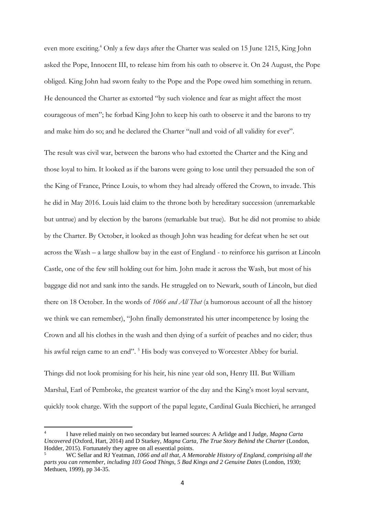even more exciting. <sup>4</sup> Only a few days after the Charter was sealed on 15 June 1215, King John asked the Pope, Innocent III, to release him from his oath to observe it. On 24 August, the Pope obliged. King John had sworn fealty to the Pope and the Pope owed him something in return. He denounced the Charter as extorted "by such violence and fear as might affect the most courageous of men"; he forbad King John to keep his oath to observe it and the barons to try and make him do so; and he declared the Charter "null and void of all validity for ever".

The result was civil war, between the barons who had extorted the Charter and the King and those loyal to him. It looked as if the barons were going to lose until they persuaded the son of the King of France, Prince Louis, to whom they had already offered the Crown, to invade. This he did in May 2016. Louis laid claim to the throne both by hereditary succession (unremarkable but untrue) and by election by the barons (remarkable but true). But he did not promise to abide by the Charter. By October, it looked as though John was heading for defeat when he set out across the Wash – a large shallow bay in the east of England - to reinforce his garrison at Lincoln Castle, one of the few still holding out for him. John made it across the Wash, but most of his baggage did not and sank into the sands. He struggled on to Newark, south of Lincoln, but died there on 18 October. In the words of *1066 and All That* (a humorous account of all the history we think we can remember), "John finally demonstrated his utter incompetence by losing the Crown and all his clothes in the wash and then dying of a surfeit of peaches and no cider; thus his awful reign came to an end". <sup>5</sup> His body was conveyed to Worcester Abbey for burial.

Things did not look promising for his heir, his nine year old son, Henry III. But William Marshal, Earl of Pembroke, the greatest warrior of the day and the King's most loyal servant, quickly took charge. With the support of the papal legate, Cardinal Guala Bicchieri, he arranged

1

<sup>4</sup> I have relied mainly on two secondary but learned sources: A Arlidge and I Judge, *Magna Carta Uncovered* (Oxford, Hart, 2014) and D Starkey, *Magna Carta, The True Story Behind the Charter* (London, Hodder, 2015). Fortunately they agree on all essential points.

<sup>5</sup> WC Sellar and RJ Yeatman, *1066 and all that, A Memorable History of England, comprising all the parts you can remember, including 103 Good Things, 5 Bad Kings and 2 Genuine Dates* (London, 1930; Methuen, 1999), pp 34-35.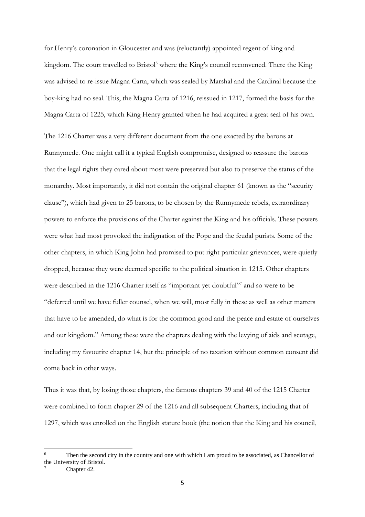for Henry's coronation in Gloucester and was (reluctantly) appointed regent of king and kingdom. The court travelled to Bristol<sup>6</sup> where the King's council reconvened. There the King was advised to re-issue Magna Carta, which was sealed by Marshal and the Cardinal because the boy-king had no seal. This, the Magna Carta of 1216, reissued in 1217, formed the basis for the Magna Carta of 1225, which King Henry granted when he had acquired a great seal of his own.

The 1216 Charter was a very different document from the one exacted by the barons at Runnymede. One might call it a typical English compromise, designed to reassure the barons that the legal rights they cared about most were preserved but also to preserve the status of the monarchy. Most importantly, it did not contain the original chapter 61 (known as the "security clause"), which had given to 25 barons, to be chosen by the Runnymede rebels, extraordinary powers to enforce the provisions of the Charter against the King and his officials. These powers were what had most provoked the indignation of the Pope and the feudal purists. Some of the other chapters, in which King John had promised to put right particular grievances, were quietly dropped, because they were deemed specific to the political situation in 1215. Other chapters were described in the 1216 Charter itself as "important yet doubtful"<sup>7</sup> and so were to be "deferred until we have fuller counsel, when we will, most fully in these as well as other matters that have to be amended, do what is for the common good and the peace and estate of ourselves and our kingdom." Among these were the chapters dealing with the levying of aids and scutage, including my favourite chapter 14, but the principle of no taxation without common consent did come back in other ways.

Thus it was that, by losing those chapters, the famous chapters 39 and 40 of the 1215 Charter were combined to form chapter 29 of the 1216 and all subsequent Charters, including that of 1297, which was enrolled on the English statute book (the notion that the King and his council,

Chapter 42.

 $\overline{6}$ Then the second city in the country and one with which I am proud to be associated, as Chancellor of the University of Bristol.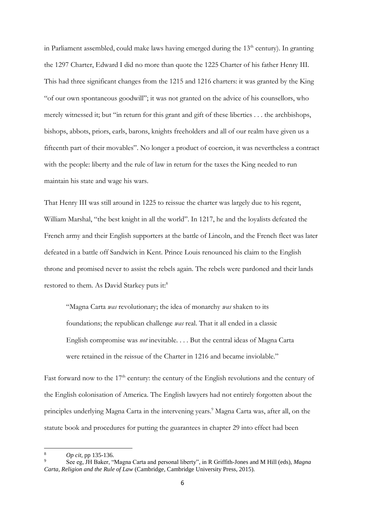in Parliament assembled, could make laws having emerged during the  $13<sup>th</sup>$  century). In granting the 1297 Charter, Edward I did no more than quote the 1225 Charter of his father Henry III. This had three significant changes from the 1215 and 1216 charters: it was granted by the King "of our own spontaneous goodwill"; it was not granted on the advice of his counsellors, who merely witnessed it; but "in return for this grant and gift of these liberties . . . the archbishops, bishops, abbots, priors, earls, barons, knights freeholders and all of our realm have given us a fifteenth part of their movables". No longer a product of coercion, it was nevertheless a contract with the people: liberty and the rule of law in return for the taxes the King needed to run maintain his state and wage his wars.

That Henry III was still around in 1225 to reissue the charter was largely due to his regent, William Marshal, "the best knight in all the world". In 1217, he and the loyalists defeated the French army and their English supporters at the battle of Lincoln, and the French fleet was later defeated in a battle off Sandwich in Kent. Prince Louis renounced his claim to the English throne and promised never to assist the rebels again. The rebels were pardoned and their lands restored to them. As David Starkey puts it:<sup>8</sup>

"Magna Carta *was* revolutionary; the idea of monarchy *was* shaken to its foundations; the republican challenge *was* real. That it all ended in a classic English compromise was *not* inevitable. . . . But the central ideas of Magna Carta were retained in the reissue of the Charter in 1216 and became inviolable."

Fast forward now to the  $17<sup>th</sup>$  century: the century of the English revolutions and the century of the English colonisation of America. The English lawyers had not entirely forgotten about the principles underlying Magna Carta in the intervening years. <sup>9</sup> Magna Carta was, after all, on the statute book and procedures for putting the guarantees in chapter 29 into effect had been

<sup>1</sup> <sup>8</sup> *Op cit,* pp 135-136.

<sup>9</sup> See eg, JH Baker, "Magna Carta and personal liberty", in R Griffith-Jones and M Hill (eds), *Magna Carta, Religion and the Rule of Law* (Cambridge, Cambridge University Press, 2015).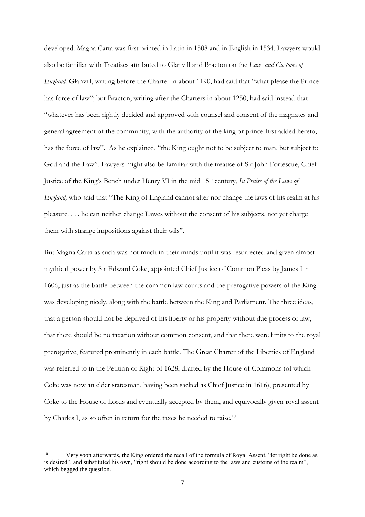developed. Magna Carta was first printed in Latin in 1508 and in English in 1534. Lawyers would also be familiar with Treatises attributed to Glanvill and Bracton on the *Laws and Customs of England*. Glanvill, writing before the Charter in about 1190, had said that "what please the Prince has force of law"; but Bracton, writing after the Charters in about 1250, had said instead that "whatever has been rightly decided and approved with counsel and consent of the magnates and general agreement of the community, with the authority of the king or prince first added hereto, has the force of law". As he explained, "the King ought not to be subject to man, but subject to God and the Law". Lawyers might also be familiar with the treatise of Sir John Fortescue, Chief Justice of the King's Bench under Henry VI in the mid 15<sup>th</sup> century, *In Praise of the Laws of England,* who said that "The King of England cannot alter nor change the laws of his realm at his pleasure. . . . he can neither change Lawes without the consent of his subjects, nor yet charge them with strange impositions against their wils".

But Magna Carta as such was not much in their minds until it was resurrected and given almost mythical power by Sir Edward Coke, appointed Chief Justice of Common Pleas by James I in 1606, just as the battle between the common law courts and the prerogative powers of the King was developing nicely, along with the battle between the King and Parliament. The three ideas, that a person should not be deprived of his liberty or his property without due process of law, that there should be no taxation without common consent, and that there were limits to the royal prerogative, featured prominently in each battle. The Great Charter of the Liberties of England was referred to in the Petition of Right of 1628, drafted by the House of Commons (of which Coke was now an elder statesman, having been sacked as Chief Justice in 1616), presented by Coke to the House of Lords and eventually accepted by them, and equivocally given royal assent by Charles I, as so often in return for the taxes he needed to raise.<sup>10</sup>

 $10<sup>10</sup>$ <sup>10</sup> Very soon afterwards, the King ordered the recall of the formula of Royal Assent, "let right be done as is desired", and substituted his own, "right should be done according to the laws and customs of the realm", which begged the question.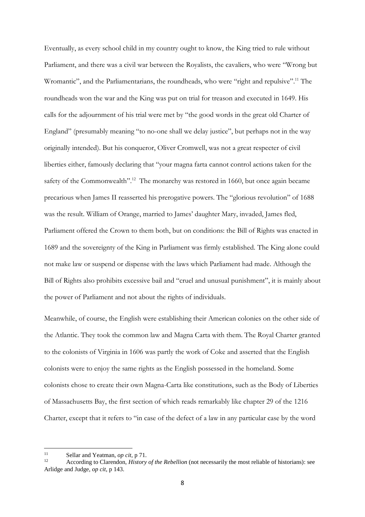Eventually, as every school child in my country ought to know, the King tried to rule without Parliament, and there was a civil war between the Royalists, the cavaliers, who were "Wrong but Wromantic", and the Parliamentarians, the roundheads, who were "right and repulsive".<sup>11</sup> The roundheads won the war and the King was put on trial for treason and executed in 1649. His calls for the adjournment of his trial were met by "the good words in the great old Charter of England" (presumably meaning "to no-one shall we delay justice", but perhaps not in the way originally intended). But his conqueror, Oliver Cromwell, was not a great respecter of civil liberties either, famously declaring that "your magna farta cannot control actions taken for the safety of the Commonwealth".<sup>12</sup> The monarchy was restored in 1660, but once again became precarious when James II reasserted his prerogative powers. The "glorious revolution" of 1688 was the result. William of Orange, married to James' daughter Mary, invaded, James fled, Parliament offered the Crown to them both, but on conditions: the Bill of Rights was enacted in 1689 and the sovereignty of the King in Parliament was firmly established. The King alone could not make law or suspend or dispense with the laws which Parliament had made. Although the Bill of Rights also prohibits excessive bail and "cruel and unusual punishment", it is mainly about the power of Parliament and not about the rights of individuals.

Meanwhile, of course, the English were establishing their American colonies on the other side of the Atlantic. They took the common law and Magna Carta with them. The Royal Charter granted to the colonists of Virginia in 1606 was partly the work of Coke and asserted that the English colonists were to enjoy the same rights as the English possessed in the homeland. Some colonists chose to create their own Magna-Carta like constitutions, such as the Body of Liberties of Massachusetts Bay, the first section of which reads remarkably like chapter 29 of the 1216 Charter, except that it refers to "in case of the defect of a law in any particular case by the word

 $11$ 11 Sellar and Yeatman, *op cit*, p 71.

<sup>12</sup> According to Clarendon, *History of the Rebellion* (not necessarily the most reliable of historians): see Arlidge and Judge, *op cit*, p 143.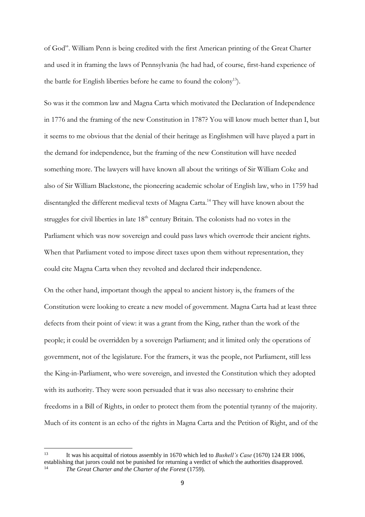of God". William Penn is being credited with the first American printing of the Great Charter and used it in framing the laws of Pennsylvania (he had had, of course, first-hand experience of the battle for English liberties before he came to found the colony<sup>13</sup>).

So was it the common law and Magna Carta which motivated the Declaration of Independence in 1776 and the framing of the new Constitution in 1787? You will know much better than I, but it seems to me obvious that the denial of their heritage as Englishmen will have played a part in the demand for independence, but the framing of the new Constitution will have needed something more. The lawyers will have known all about the writings of Sir William Coke and also of Sir William Blackstone, the pioneering academic scholar of English law, who in 1759 had disentangled the different medieval texts of Magna Carta.<sup>14</sup> They will have known about the struggles for civil liberties in late 18<sup>th</sup> century Britain. The colonists had no votes in the Parliament which was now sovereign and could pass laws which overrode their ancient rights. When that Parliament voted to impose direct taxes upon them without representation, they could cite Magna Carta when they revolted and declared their independence.

On the other hand, important though the appeal to ancient history is, the framers of the Constitution were looking to create a new model of government. Magna Carta had at least three defects from their point of view: it was a grant from the King, rather than the work of the people; it could be overridden by a sovereign Parliament; and it limited only the operations of government, not of the legislature. For the framers, it was the people, not Parliament, still less the King-in-Parliament, who were sovereign, and invested the Constitution which they adopted with its authority. They were soon persuaded that it was also necessary to enshrine their freedoms in a Bill of Rights, in order to protect them from the potential tyranny of the majority. Much of its content is an echo of the rights in Magna Carta and the Petition of Right, and of the

 $13$ <sup>13</sup> It was his acquittal of riotous assembly in 1670 which led to *Bushell's Case* (1670) 124 ER 1006, establishing that jurors could not be punished for returning a verdict of which the authorities disapproved. The Great Charter and the Charter of the Forest (1759).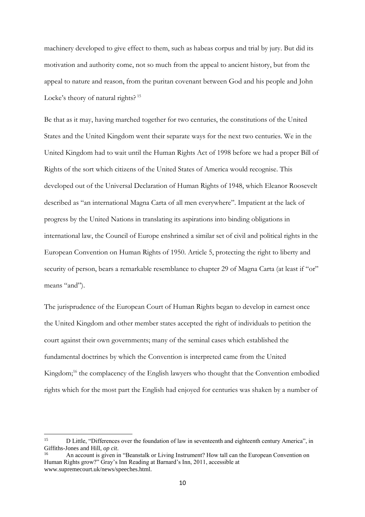machinery developed to give effect to them, such as habeas corpus and trial by jury. But did its motivation and authority come, not so much from the appeal to ancient history, but from the appeal to nature and reason, from the puritan covenant between God and his people and John Locke's theory of natural rights?<sup>15</sup>

Be that as it may, having marched together for two centuries, the constitutions of the United States and the United Kingdom went their separate ways for the next two centuries. We in the United Kingdom had to wait until the Human Rights Act of 1998 before we had a proper Bill of Rights of the sort which citizens of the United States of America would recognise. This developed out of the Universal Declaration of Human Rights of 1948, which Eleanor Roosevelt described as "an international Magna Carta of all men everywhere". Impatient at the lack of progress by the United Nations in translating its aspirations into binding obligations in international law, the Council of Europe enshrined a similar set of civil and political rights in the European Convention on Human Rights of 1950. Article 5, protecting the right to liberty and security of person, bears a remarkable resemblance to chapter 29 of Magna Carta (at least if "or" means "and").

The jurisprudence of the European Court of Human Rights began to develop in earnest once the United Kingdom and other member states accepted the right of individuals to petition the court against their own governments; many of the seminal cases which established the fundamental doctrines by which the Convention is interpreted came from the United Kingdom;<sup>16</sup> the complacency of the English lawyers who thought that the Convention embodied rights which for the most part the English had enjoyed for centuries was shaken by a number of

 $15$ <sup>15</sup> D Little, "Differences over the foundation of law in seventeenth and eighteenth century America", in Giffiths-Jones and Hill, *op cit*.

<sup>16</sup> An account is given in "Beanstalk or Living Instrument? How tall can the European Convention on Human Rights grow?" Gray's Inn Reading at Barnard's Inn, 2011, accessible at www.supremecourt.uk/news/speeches.html.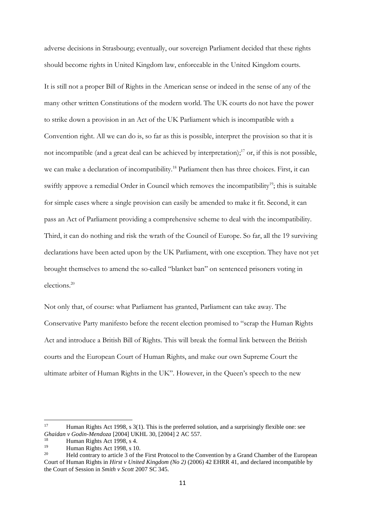adverse decisions in Strasbourg; eventually, our sovereign Parliament decided that these rights should become rights in United Kingdom law, enforceable in the United Kingdom courts.

It is still not a proper Bill of Rights in the American sense or indeed in the sense of any of the many other written Constitutions of the modern world. The UK courts do not have the power to strike down a provision in an Act of the UK Parliament which is incompatible with a Convention right. All we can do is, so far as this is possible, interpret the provision so that it is not incompatible (and a great deal can be achieved by interpretation); <sup>17</sup> or, if this is not possible, we can make a declaration of incompatibility.<sup>18</sup> Parliament then has three choices. First, it can swiftly approve a remedial Order in Council which removes the incompatibility<sup>19</sup>; this is suitable for simple cases where a single provision can easily be amended to make it fit. Second, it can pass an Act of Parliament providing a comprehensive scheme to deal with the incompatibility. Third, it can do nothing and risk the wrath of the Council of Europe. So far, all the 19 surviving declarations have been acted upon by the UK Parliament, with one exception. They have not yet brought themselves to amend the so-called "blanket ban" on sentenced prisoners voting in elections.<sup>20</sup>

Not only that, of course: what Parliament has granted, Parliament can take away. The Conservative Party manifesto before the recent election promised to "scrap the Human Rights Act and introduce a British Bill of Rights. This will break the formal link between the British courts and the European Court of Human Rights, and make our own Supreme Court the ultimate arbiter of Human Rights in the UK". However, in the Queen's speech to the new

 $17$ Human Rights Act 1998, s 3(1). This is the preferred solution, and a surprisingly flexible one: see *Ghaidan v Godin-Mendoza* [2004] UKHL 30, [2004] 2 AC 557.

<sup>&</sup>lt;sup>18</sup> Human Rights Act 1998, s 4.<br>
Human Bights Act 1998, s 10

<sup>&</sup>lt;sup>19</sup> Human Rights Act 1998, s 10.<br> **1912** Hold controver to erticle 3 of the

<sup>20</sup> Held contrary to article 3 of the First Protocol to the Convention by a Grand Chamber of the European Court of Human Rights in *Hirst v United Kingdom (No 2)* (2006) 42 EHRR 41, and declared incompatible by the Court of Session in *Smith v Scott* 2007 SC 345.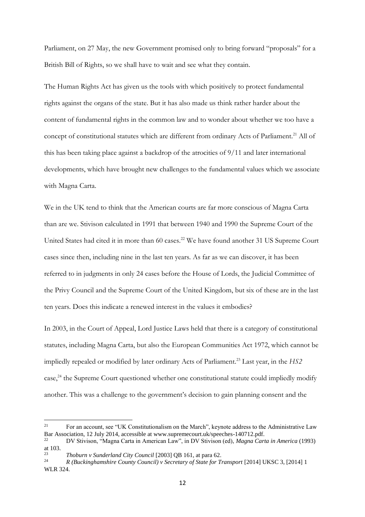Parliament, on 27 May, the new Government promised only to bring forward "proposals" for a British Bill of Rights, so we shall have to wait and see what they contain.

The Human Rights Act has given us the tools with which positively to protect fundamental rights against the organs of the state. But it has also made us think rather harder about the content of fundamental rights in the common law and to wonder about whether we too have a concept of constitutional statutes which are different from ordinary Acts of Parliament.<sup>21</sup> All of this has been taking place against a backdrop of the atrocities of 9/11 and later international developments, which have brought new challenges to the fundamental values which we associate with Magna Carta.

We in the UK tend to think that the American courts are far more conscious of Magna Carta than are we. Stivison calculated in 1991 that between 1940 and 1990 the Supreme Court of the United States had cited it in more than 60 cases.<sup>22</sup> We have found another 31 US Supreme Court cases since then, including nine in the last ten years. As far as we can discover, it has been referred to in judgments in only 24 cases before the House of Lords, the Judicial Committee of the Privy Council and the Supreme Court of the United Kingdom, but six of these are in the last ten years. Does this indicate a renewed interest in the values it embodies?

In 2003, in the Court of Appeal, Lord Justice Laws held that there is a category of constitutional statutes, including Magna Carta, but also the European Communities Act 1972, which cannot be impliedly repealed or modified by later ordinary Acts of Parliament. <sup>23</sup> Last year, in the *HS2*  case,<sup>24</sup> the Supreme Court questioned whether one constitutional statute could impliedly modify another. This was a challenge to the government's decision to gain planning consent and the

 $21$ <sup>21</sup> For an account, see "UK Constitutionalism on the March", keynote address to the Administrative Law Bar Association, 12 July 2014, accessible at www.supremecourt.uk/speeches-140712.pdf.<br>22 DV Stivison (Magna Carta in American Law'' in DV Stivison (ed), Magna Carta

<sup>22</sup> DV Stivison, "Magna Carta in American Law", in DV Stivison (ed), *Magna Carta in America* (1993) at 103.

<sup>&</sup>lt;sup>23</sup> *Thoburn v Sunderland City Council* [2003] QB 161, at para 62.<br><sup>24</sup> *R (Buckinghamshire County Council) y Secretary of State for T.* 

<sup>24</sup> *R (Buckinghamshire County Council) v Secretary of State for Transport* [2014] UKSC 3, [2014] 1 WLR 324.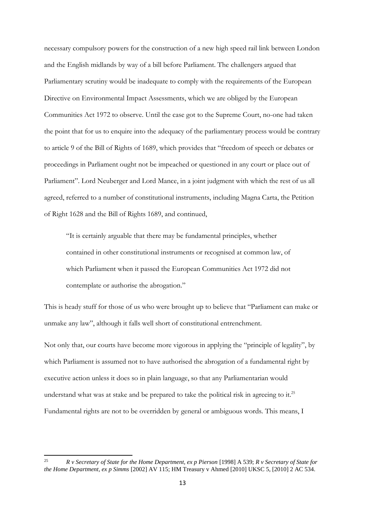necessary compulsory powers for the construction of a new high speed rail link between London and the English midlands by way of a bill before Parliament. The challengers argued that Parliamentary scrutiny would be inadequate to comply with the requirements of the European Directive on Environmental Impact Assessments, which we are obliged by the European Communities Act 1972 to observe. Until the case got to the Supreme Court, no-one had taken the point that for us to enquire into the adequacy of the parliamentary process would be contrary to article 9 of the Bill of Rights of 1689, which provides that "freedom of speech or debates or proceedings in Parliament ought not be impeached or questioned in any court or place out of Parliament". Lord Neuberger and Lord Mance, in a joint judgment with which the rest of us all agreed, referred to a number of constitutional instruments, including Magna Carta, the Petition of Right 1628 and the Bill of Rights 1689, and continued,

"It is certainly arguable that there may be fundamental principles, whether contained in other constitutional instruments or recognised at common law, of which Parliament when it passed the European Communities Act 1972 did not contemplate or authorise the abrogation."

This is heady stuff for those of us who were brought up to believe that "Parliament can make or unmake any law", although it falls well short of constitutional entrenchment.

Not only that, our courts have become more vigorous in applying the "principle of legality", by which Parliament is assumed not to have authorised the abrogation of a fundamental right by executive action unless it does so in plain language, so that any Parliamentarian would understand what was at stake and be prepared to take the political risk in agreeing to it.<sup>25</sup> Fundamental rights are not to be overridden by general or ambiguous words. This means, I

 $25$ <sup>25</sup> *R v Secretary of State for the Home Department, ex p Pierson* [1998] A 539; *R v Secretary of State for the Home Department, ex p Simms* [2002] AV 115; HM Treasury v Ahmed [2010] UKSC 5, [2010] 2 AC 534.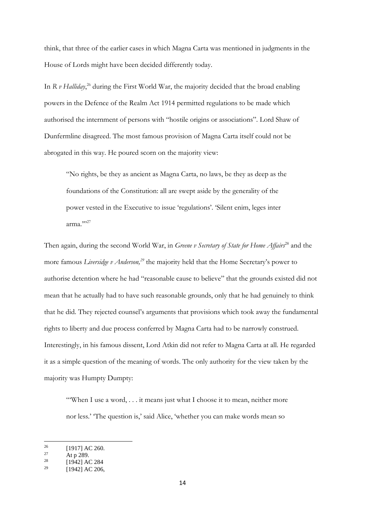think, that three of the earlier cases in which Magna Carta was mentioned in judgments in the House of Lords might have been decided differently today.

In *R v Halliday*, <sup>26</sup> during the First World War, the majority decided that the broad enabling powers in the Defence of the Realm Act 1914 permitted regulations to be made which authorised the internment of persons with "hostile origins or associations". Lord Shaw of Dunfermline disagreed. The most famous provision of Magna Carta itself could not be abrogated in this way. He poured scorn on the majority view:

"No rights, be they as ancient as Magna Carta, no laws, be they as deep as the foundations of the Constitution: all are swept aside by the generality of the power vested in the Executive to issue 'regulations'. 'Silent enim, leges inter arma.""27

Then again, during the second World War, in *Greene v Secretary of State for Home Affairs*<sup>28</sup> and the more famous *Liversidge v Anderson,<sup>29</sup>* the majority held that the Home Secretary's power to authorise detention where he had "reasonable cause to believe" that the grounds existed did not mean that he actually had to have such reasonable grounds, only that he had genuinely to think that he did. They rejected counsel's arguments that provisions which took away the fundamental rights to liberty and due process conferred by Magna Carta had to be narrowly construed. Interestingly, in his famous dissent, Lord Atkin did not refer to Magna Carta at all. He regarded it as a simple question of the meaning of words. The only authority for the view taken by the majority was Humpty Dumpty:

"When I use a word, . . . it means just what I choose it to mean, neither more nor less.' 'The question is,' said Alice, 'whether you can make words mean so

 $^{26}$  $^{26}$  [1917] AC 260.

 $27$  At p 289.

<sup>[1942]</sup> AC 284

 $1942$ ] AC 206,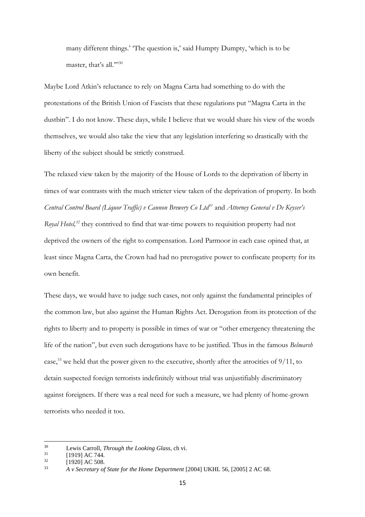many different things.' 'The question is,' said Humpty Dumpty, 'which is to be master, that's all.""30

Maybe Lord Atkin's reluctance to rely on Magna Carta had something to do with the protestations of the British Union of Fascists that these regulations put "Magna Carta in the dustbin". I do not know. These days, while I believe that we would share his view of the words themselves, we would also take the view that any legislation interfering so drastically with the liberty of the subject should be strictly construed.

The relaxed view taken by the majority of the House of Lords to the deprivation of liberty in times of war contrasts with the much stricter view taken of the deprivation of property. In both *Central Control Board (Liquor Traffic) v Cannon Brewery Co Ltd<sup>31</sup>* and *Attorney General v De Keyser's Royal Hotel*,<sup>32</sup> they contrived to find that war-time powers to requisition property had not deprived the owners of the right to compensation. Lord Parmoor in each case opined that, at least since Magna Carta, the Crown had had no prerogative power to confiscate property for its own benefit.

These days, we would have to judge such cases, not only against the fundamental principles of the common law, but also against the Human Rights Act. Derogation from its protection of the rights to liberty and to property is possible in times of war or "other emergency threatening the life of the nation", but even such derogations have to be justified. Thus in the famous *Belmarsh* case,<sup>33</sup> we held that the power given to the executive, shortly after the atrocities of  $9/11$ , to detain suspected foreign terrorists indefinitely without trial was unjustifiably discriminatory against foreigners. If there was a real need for such a measure, we had plenty of home-grown terrorists who needed it too.

 $30^{\circ}$ <sup>30</sup> Lewis Carroll, *Through the Looking Glass*, ch vi.

 $\frac{31}{32}$  [1919] AC 744.

 $\frac{32}{33}$  [1920] AC 508.

<sup>33</sup> *A v Secretary of State for the Home Department* [2004] UKHL 56, [2005] 2 AC 68.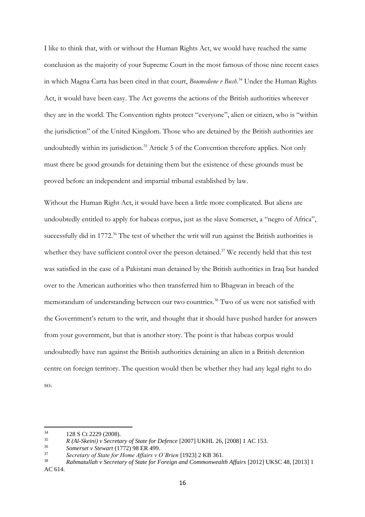I like to think that, with or without the Human Rights Act, we would have reached the same conclusion as the majority of your Supreme Court in the most famous of those nine recent cases in which Magna Carta has been cited in that court, *Boumediene v Bush*. <sup>34</sup> Under the Human Rights Act, it would have been easy. The Act governs the actions of the British authorities wherever they are in the world. The Convention rights protect "everyone", alien or citizen, who is "within the jurisdiction" of the United Kingdom. Those who are detained by the British authorities are undoubtedly within its jurisdiction.<sup>35</sup> Article 5 of the Convention therefore applies. Not only must there be good grounds for detaining them but the existence of these grounds must be proved before an independent and impartial tribunal established by law.

Without the Human Right Act, it would have been a little more complicated. But aliens are undoubtedly entitled to apply for habeas corpus, just as the slave Somerset, a "negro of Africa", successfully did in 1772.<sup>36</sup> The test of whether the writ will run against the British authorities is whether they have sufficient control over the person detained.<sup>37</sup> We recently held that this test was satisfied in the case of a Pakistani man detained by the British authorities in Iraq but handed over to the American authorities who then transferred him to Bhagwan in breach of the memorandum of understanding between our two countries.<sup>38</sup> Two of us were not satisfied with the Government's return to the writ, and thought that it should have pushed harder for answers from your government, but that is another story. The point is that habeas corpus would undoubtedly have run against the British authorities detaining an alien in a British detention centre on foreign territory. The question would then be whether they had any legal right to do so.

 $34$  $\frac{34}{35}$  128 S Ct 2229 (2008).

<sup>35</sup> *R (Al-Skeini) v Secretary of State for Defence* [2007] UKHL 26, [2008] 1 AC 153.

<sup>36</sup> *Somerset v Stewart* (1772) 98 ER 499.

<sup>37</sup> *Secretary of State for Home Affairs v O'Brien* [1923] 2 KB 361.

<sup>38</sup> *Rahmatullah v Secretary of State for Foreign and Commonwealth Affairs* [2012] UKSC 48, [2013] 1 AC 614.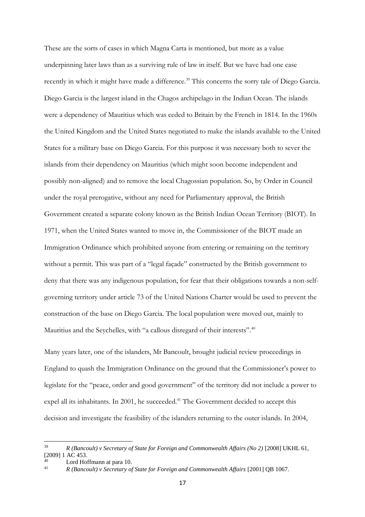These are the sorts of cases in which Magna Carta is mentioned, but more as a value underpinning later laws than as a surviving rule of law in itself. But we have had one case recently in which it might have made a difference.<sup>39</sup> This concerns the sorry tale of Diego Garcia. Diego Garcia is the largest island in the Chagos archipelago in the Indian Ocean. The islands were a dependency of Mauritius which was ceded to Britain by the French in 1814. In the 1960s the United Kingdom and the United States negotiated to make the islands available to the United States for a military base on Diego Garcia. For this purpose it was necessary both to sever the islands from their dependency on Mauritius (which might soon become independent and possibly non-aligned) and to remove the local Chagossian population. So, by Order in Council under the royal prerogative, without any need for Parliamentary approval, the British Government created a separate colony known as the British Indian Ocean Territory (BIOT). In 1971, when the United States wanted to move in, the Commissioner of the BIOT made an Immigration Ordinance which prohibited anyone from entering or remaining on the territory without a permit. This was part of a "legal façade" constructed by the British government to deny that there was any indigenous population, for fear that their obligations towards a non-selfgoverning territory under article 73 of the United Nations Charter would be used to prevent the construction of the base on Diego Garcia. The local population were moved out, mainly to Mauritius and the Seychelles, with "a callous disregard of their interests".<sup>40</sup>

Many years later, one of the islanders, Mr Bancoult, brought judicial review proceedings in England to quash the Immigration Ordinance on the ground that the Commissioner's power to legislate for the "peace, order and good government" of the territory did not include a power to expel all its inhabitants. In 2001, he succeeded.<sup>41</sup> The Government decided to accept this decision and investigate the feasibility of the islanders returning to the outer islands. In 2004,

<sup>39</sup> <sup>39</sup> *R (Bancoult) v Secretary of State for Foreign and Commonwealth Affairs (No 2)* [2008] UKHL 61, [2009] 1 AC 453.

<sup>40</sup> Lord Hoffmann at para 10.

<sup>41</sup> *R (Bancoult) v Secretary of State for Foreign and Commonwealth Affairs* [2001] QB 1067.